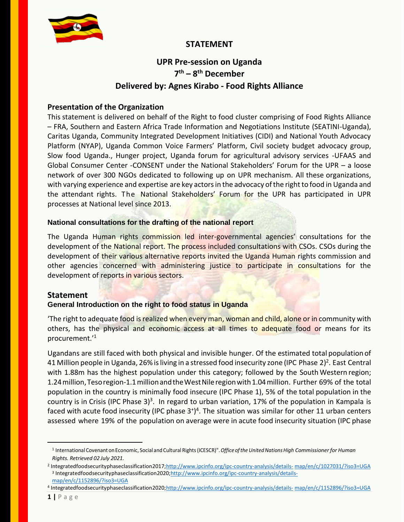

## **STATEMENT**

# **UPR Pre-session on Uganda 7 th – 8 th December Delivered by: Agnes Kirabo - Food Rights Alliance**

### **Presentation of the Organization**

This statement is delivered on behalf of the Right to food cluster comprising of Food Rights Alliance – FRA, Southern and Eastern Africa Trade Information and Negotiations Institute (SEATINI-Uganda), Caritas Uganda, Community Integrated Development Initiatives (CIDI) and National Youth Advocacy Platform (NYAP), Uganda Common Voice Farmers' Platform, Civil society budget advocacy group, Slow food Uganda., Hunger project, Uganda forum for agricultural advisory services -UFAAS and Global Consumer Center -CONSENT under the National Stakeholders' Forum for the UPR – a loose network of over 300 NGOs dedicated to following up on UPR mechanism. All these organizations, with varying experience and expertise are key actors in the advocacy of the right to food in Uganda and the attendant rights. The National Stakeholders' Forum for the UPR has participated in UPR processes at National level since 2013.

#### **National consultations for the drafting of the national report**

The Uganda Human rights commission led inter-governmental agencies' consultations for the development of the National report. The process included consultations with CSOs. CSOs during the development of their various alternative reports invited the Uganda Human rights commission and other agencies concerned with administering justice to participate in consultations for the development of reports in various sectors.

## **Statement**

#### **General Introduction on the right to food status in Uganda**

The right to adequate food is realized when every man, woman and child, alone or in community with others, has the physical and economic access at all times to adequate food or means for its procurement.'<sup>1</sup>

Ugandans are still faced with both physical and invisible hunger. Of the estimated total population of 41 Million people in Uganda, 26% is living in a stressed food insecurity zone (IPC Phase 2)<sup>2</sup>. East Central with 1.88m has the highest population under this category; followed by the South Western region; 1.24million,Tesoregion-1.1millionandtheWestNileregionwith1.04million. Further 69% of the total population in the country is minimally food insecure (IPC Phase 1), 5% of the total population in the country is in Crisis (IPC Phase 3)<sup>3</sup>. In regard to urban variation, 17% of the population in Kampala is faced with acute food insecurity (IPC phase  $3^{+}$ )<sup>4</sup>. The situation was similar for other 11 urban centers assessed where 19% of the population on average were in acute food insecurity situation (IPC phase

 $\overline{a}$ 

<sup>1</sup> International Covenant onEconomic, Social and Cultural [Rights\(ICESCR\)".](http://www.ohchr.org/EN/ProfessionalInterest/Pages/CESCR.aspx)*Office oftheUnitedNationsHigh Commissioner for Human Rights. Retrieved 02 July 2021.*

<sup>2</sup> Integratedfoodsecurityphaseclassification2017[;http://www.ipcinfo.org/ipc-country-analysis/details-](http://www.ipcinfo.org/ipc-country-analysis/details-map/en/c/1027031/?iso3=UGA) [map/en/c/1027031/?iso3=UGA](http://www.ipcinfo.org/ipc-country-analysis/details-map/en/c/1027031/?iso3=UGA) <sup>3</sup> Integratedfoodsecurityphaseclassification2020[;http://www.ipcinfo.org/ipc-country-analysis/details](http://www.ipcinfo.org/ipc-country-analysis/details-map/en/c/1152896/?iso3=UGA)[map/en/c/1152896/?iso3=UGA](http://www.ipcinfo.org/ipc-country-analysis/details-map/en/c/1152896/?iso3=UGA)

<sup>4</sup> Integratedfoodsecurityphaseclassification2020[;http://www.ipcinfo.org/ipc-country-analysis/details-](http://www.ipcinfo.org/ipc-country-analysis/details-map/en/c/1152896/?iso3=UGA) [map/en/c/1152896/?iso3=UGA](http://www.ipcinfo.org/ipc-country-analysis/details-map/en/c/1152896/?iso3=UGA)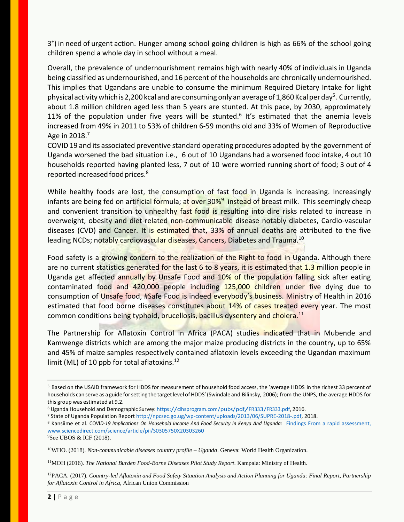3 + ) in need of urgent action. Hunger among school going children is high as 66% of the school going children spend a whole day in school without a meal.

Overall, the prevalence of undernourishment remains high with nearly 40% of individuals in Uganda being classified as undernourished, and 16 percent of the households are chronically undernourished. This implies that Ugandans are unable to consume the minimum Required Dietary Intake for light physical activity which is 2,200 kcal and are consuming only an average of 1,860 Kcal per day<sup>5</sup>. Currently, about 1.8 million children aged less than 5 years are stunted. At this pace, by 2030, approximately 11% of the population under five years will be stunted.<sup>6</sup> It's estimated that the anemia levels increased from 49% in 2011 to 53% of children 6-59 months old and 33% of Women of Reproductive Age in 2018.<sup>7</sup>

COVID 19 and its associated preventive standard operating procedures adopted by the government of Uganda worsened the bad situation i.e., 6 out of 10 Ugandans had a worsened food intake, 4 out 10 households reported having planted less, 7 out of 10 were worried running short of food; 3 out of 4 reported increased food prices.<sup>8</sup>

While healthy foods are lost, the consumption of fast food in Uganda is increasing. Increasingly infants are being fed on artificial formula; at over 30%<sup>9</sup> instead of breast milk. This seemingly cheap and convenient transition to unhealthy fast food is resulting into dire risks related to increase in overweight, obesity and diet-related non-communicable disease notably diabetes, Cardio-vascular diseases (CVD) and Cancer. It is estimated that, 33% of annual deaths are attributed to the five leading NCDs; notably cardiovascular diseases, Cancers, Diabetes and Trauma.<sup>10</sup>

Food safety is a growing concern to the realization of the Right to food in Uganda. Although there are no current statistics generated for the last 6 to 8 years, it is estimated that 1.3 million people in Uganda get affected annually by Unsafe Food and 10% of the population falling sick after eating contaminated food and 420,000 people including 125,000 children under five dying due to consumption of Unsafe food, #Safe Food is indeed everybody's business. Ministry of Health in 2016 estimated that food borne diseases constitutes about 14% of cases treated every year. The most common conditions being typhoid, brucellosis, bacillus dysentery and cholera.<sup>11</sup>

The Partnership for Aflatoxin Control in Africa (PACA) studies indicated that in Mubende and Kamwenge districts which are among the major maize producing districts in the country, up to 65% and 45% of maize samples respectively contained aflatoxin levels exceeding the Ugandan maximum limit (ML) of 10 ppb for total aflatoxins. $12$ 

<sup>9</sup>See UBOS & ICF (2018).

 $\ddot{ }$ 

<sup>5</sup> Based on the USAID framework for HDDS for measurement of household food access, the 'average HDDS in the richest 33 percent of households can serve as a guide for setting the target level of HDDS' (Swindale and Bilinsky, 2006); from the UNPS, the average HDDS for this group was estimated at 9.2.

<sup>6</sup> Uganda Household and Demographic Survey: [https://dhsprogram.com/pubs/pdf/FR333/FR333.pdf,](https://dhsprogram.com/pubs/pdf/FR333/FR333.pdf) 2016.

<sup>7</sup> State of Uganda Population Repor[t http://npcsec.go.ug/wp-content/uploads/2013/06/SUPRE-2018-.pdf,](http://npcsec.go.ug/wp-content/uploads/2013/06/SUPRE-2018-.pdf) 2018.

<sup>8</sup> Kansiime et al. COVI*D-19 Implications On Household Income And Food Security In Kenya And Uganda:* Findings From a rapid assessment, [www.sciencedirect.com/science/article/pii/S0305750X20303260](http://www.sciencedirect.com/science/article/pii/S0305750X20303260)

<sup>10</sup>WHO. (2018). *Non-communicable diseases country profile – Uganda*. Geneva: World Health Organization.

<sup>11</sup>MOH (2016). *The National Burden Food-Borne Diseases Pilot Study Report*. Kampala: Ministry of Health.

<sup>12</sup>PACA. (2017). *Country-led Aflatoxin and Food Safety Situation Analysis and Action Planning for Uganda: Final Report, Partnership for Aflatoxin Control in Africa*, African Union Commission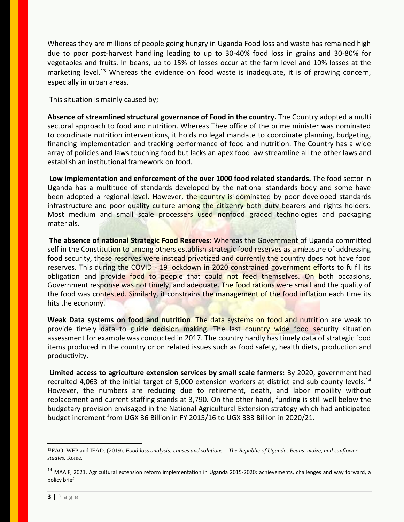Whereas they are millions of people going hungry in Uganda Food loss and waste has remained high due to poor post-harvest handling leading to up to 30-40% food loss in grains and 30-80% for vegetables and fruits. In beans, up to 15% of losses occur at the farm level and 10% losses at the marketing level.<sup>13</sup> Whereas the evidence on food waste is inadequate, it is of growing concern, especially in urban areas.

This situation is mainly caused by;

**Absence of streamlined structural governance of Food in the country.** The Country adopted a multi sectoral approach to food and nutrition. Whereas Thee office of the prime minister was nominated to coordinate nutrition interventions, it holds no legal mandate to coordinate planning, budgeting, financing implementation and tracking performance of food and nutrition. The Country has a wide array of policies and laws touching food but lacks an apex food law streamline all the other laws and establish an institutional framework on food.

**Low implementation and enforcement of the over 1000 food related standards.** The food sector in Uganda has a multitude of standards developed by the national standards body and some have been adopted a regional level. However, the country is dominated by poor developed standards infrastructure and poor quality culture among the citizenry both duty bearers and rights holders. Most medium and small scale processers used nonfood graded technologies and packaging materials.

**The absence of national Strategic Food Reserves:** Whereas the Government of Uganda committed self in the Constitution to among others establish strategic food reserves as a measure of addressing food security, these reserves were instead privatized and currently the country does not have food reserves. This during the COVID - 19 lockdown in 2020 constrained government efforts to fulfil its obligation and provide food to people that could not feed themselves. On both occasions, Government response was not timely, and adequate. The food rations were small and the quality of the food was contested. Similarly, it constrains the management of the food inflation each time its hits the economy.

**Weak Data systems on food and nutrition**. The data systems on food and nutrition are weak to provide timely data to guide decision making. The last country wide food security situation assessment for example was conducted in 2017. The country hardly has timely data of strategic food items produced in the country or on related issues such as food safety, health diets, production and productivity.

**Limited access to agriculture extension services by small scale farmers:** By 2020, government had recruited 4,063 of the initial target of 5,000 extension workers at district and sub county levels.<sup>14</sup> However, the numbers are reducing due to retirement, death, and labor mobility without replacement and current staffing stands at 3,790. On the other hand, funding is still well below the budgetary provision envisaged in the National Agricultural Extension strategy which had anticipated budget increment from UGX 36 Billion in FY 2015/16 to UGX 333 Billion in 2020/21.

 $\overline{a}$ 

<sup>13</sup>FAO, WFP and IFAD. (2019). *Food loss analysis: causes and solutions – The Republic of Uganda. Beans, maize, and sunflower studies*. Rome.

<sup>&</sup>lt;sup>14</sup> MAAIF, 2021, Agricultural extension reform implementation in Uganda 2015-2020: achievements, challenges and way forward, a policy brief